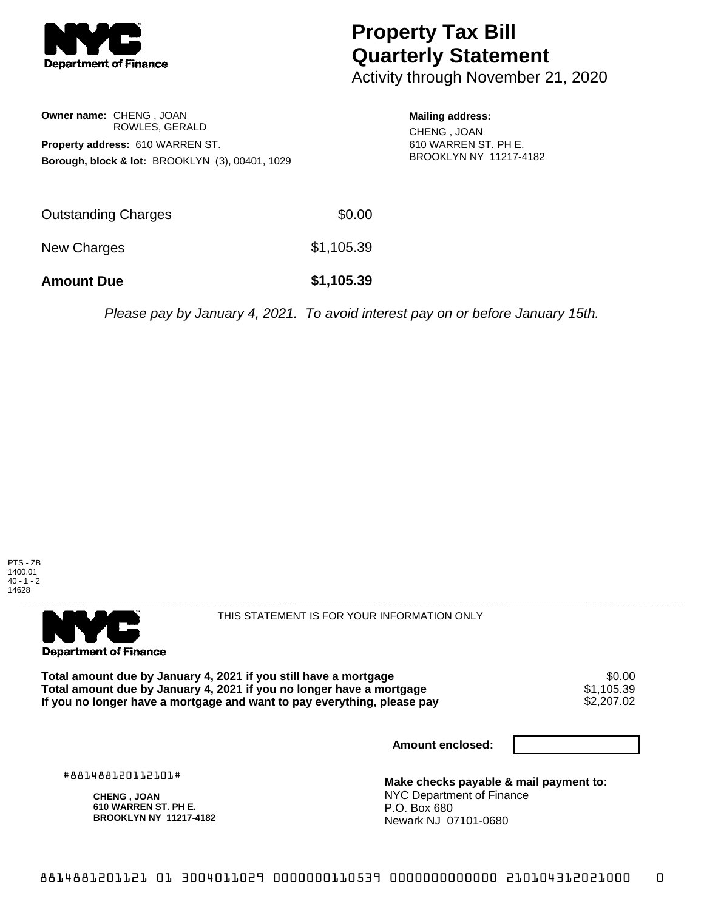

## **Property Tax Bill Quarterly Statement**

Activity through November 21, 2020

**Owner name:** CHENG , JOAN ROWLES, GERALD **Property address:** 610 WARREN ST. **Borough, block & lot:** BROOKLYN (3), 00401, 1029 **Mailing address:** CHENG , JOAN

610 WARREN ST. PH E. BROOKLYN NY 11217-4182

| <b>Amount Due</b>   | \$1,105.39 |
|---------------------|------------|
| New Charges         | \$1,105.39 |
| Outstanding Charges | \$0.00     |

Please pay by January 4, 2021. To avoid interest pay on or before January 15th.





THIS STATEMENT IS FOR YOUR INFORMATION ONLY

Total amount due by January 4, 2021 if you still have a mortgage  $$0.00$ <br>Total amount due by January 4, 2021 if you no longer have a mortgage  $$1,105.39$ **Total amount due by January 4, 2021 if you no longer have a mortgage**  $$1,105.39$ **<br>If you no longer have a mortgage and want to pay everything, please pay <b>show that have a** \$2,207.02 If you no longer have a mortgage and want to pay everything, please pay

**Amount enclosed:**

#881488120112101#

**CHENG , JOAN 610 WARREN ST. PH E. BROOKLYN NY 11217-4182**

**Make checks payable & mail payment to:** NYC Department of Finance P.O. Box 680 Newark NJ 07101-0680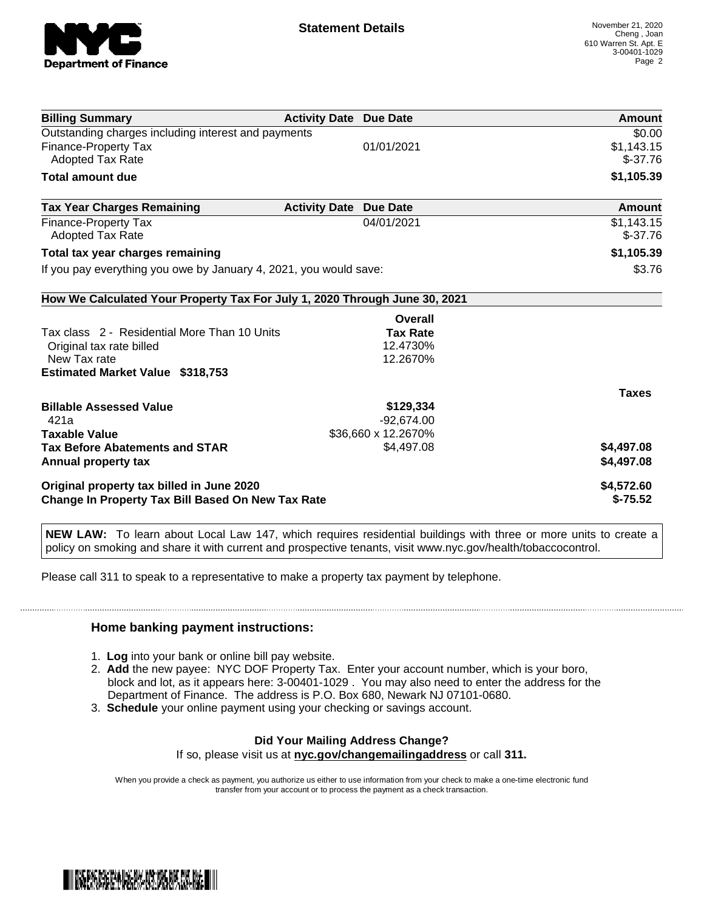

| <b>Billing Summary</b>                                                     | <b>Activity Date Due Date</b> |                     | <b>Amount</b> |
|----------------------------------------------------------------------------|-------------------------------|---------------------|---------------|
| Outstanding charges including interest and payments                        |                               |                     | \$0.00        |
| Finance-Property Tax                                                       |                               | 01/01/2021          | \$1,143.15    |
| <b>Adopted Tax Rate</b>                                                    |                               |                     | $$-37.76$     |
| <b>Total amount due</b>                                                    |                               |                     | \$1,105.39    |
| <b>Tax Year Charges Remaining</b>                                          | <b>Activity Date</b>          | <b>Due Date</b>     | Amount        |
| Finance-Property Tax                                                       |                               | 04/01/2021          | \$1,143.15    |
| Adopted Tax Rate                                                           |                               |                     | $$-37.76$     |
| Total tax year charges remaining                                           |                               |                     | \$1,105.39    |
| If you pay everything you owe by January 4, 2021, you would save:          |                               |                     | \$3.76        |
| How We Calculated Your Property Tax For July 1, 2020 Through June 30, 2021 |                               |                     |               |
|                                                                            |                               | Overall             |               |
| Tax class 2 - Residential More Than 10 Units                               |                               | <b>Tax Rate</b>     |               |
| Original tax rate billed                                                   |                               | 12.4730%            |               |
| New Tax rate                                                               |                               | 12.2670%            |               |
| <b>Estimated Market Value \$318,753</b>                                    |                               |                     |               |
|                                                                            |                               |                     | <b>Taxes</b>  |
| <b>Billable Assessed Value</b>                                             |                               | \$129,334           |               |
| 421a                                                                       |                               | $-92,674.00$        |               |
| <b>Taxable Value</b>                                                       |                               | \$36,660 x 12.2670% |               |
| <b>Tax Before Abatements and STAR</b>                                      |                               | \$4,497.08          | \$4,497.08    |
| Annual property tax                                                        |                               |                     | \$4,497.08    |
| Original property tax billed in June 2020                                  |                               |                     | \$4,572.60    |
| <b>Change In Property Tax Bill Based On New Tax Rate</b>                   |                               |                     | $$-75.52$     |

**NEW LAW:** To learn about Local Law 147, which requires residential buildings with three or more units to create a policy on smoking and share it with current and prospective tenants, visit www.nyc.gov/health/tobaccocontrol.

Please call 311 to speak to a representative to make a property tax payment by telephone.

## **Home banking payment instructions:**

- 1. **Log** into your bank or online bill pay website.
- 2. **Add** the new payee: NYC DOF Property Tax. Enter your account number, which is your boro, block and lot, as it appears here: 3-00401-1029 . You may also need to enter the address for the Department of Finance. The address is P.O. Box 680, Newark NJ 07101-0680.
- 3. **Schedule** your online payment using your checking or savings account.

## **Did Your Mailing Address Change?**

If so, please visit us at **nyc.gov/changemailingaddress** or call **311.**

When you provide a check as payment, you authorize us either to use information from your check to make a one-time electronic fund transfer from your account or to process the payment as a check transaction.